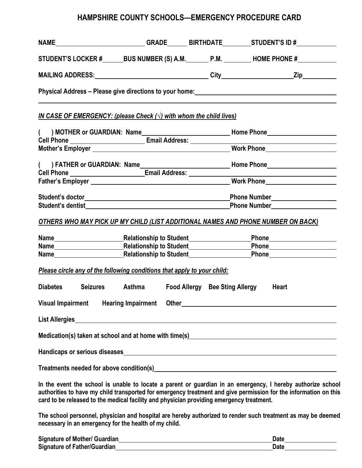# **HAMPSHIRE COUNTY SCHOOLS—EMERGENCY PROCEDURE CARD**

|                   |                                                                                                                | NAME__________________________GRADE_______BIRTHDATE_________STUDENT'S ID #____________                                                                                                                                               |
|-------------------|----------------------------------------------------------------------------------------------------------------|--------------------------------------------------------------------------------------------------------------------------------------------------------------------------------------------------------------------------------------|
|                   |                                                                                                                | STUDENT'S LOCKER #________BUS NUMBER (S) A.M._________P.M. __________HOME PHONE #_____________                                                                                                                                       |
|                   |                                                                                                                |                                                                                                                                                                                                                                      |
|                   |                                                                                                                |                                                                                                                                                                                                                                      |
|                   | <u>IN CASE OF EMERGENCY: (please Check <math>(\sqrt{})</math> with whom the child lives)</u>                   |                                                                                                                                                                                                                                      |
|                   |                                                                                                                |                                                                                                                                                                                                                                      |
|                   |                                                                                                                |                                                                                                                                                                                                                                      |
|                   |                                                                                                                |                                                                                                                                                                                                                                      |
|                   |                                                                                                                |                                                                                                                                                                                                                                      |
|                   | Cell Phone ______________________________Email Address: ___________                                            |                                                                                                                                                                                                                                      |
|                   |                                                                                                                |                                                                                                                                                                                                                                      |
|                   |                                                                                                                | Phone Number_____________________                                                                                                                                                                                                    |
|                   | Student's dentist The Communication of the Communication of the Communication of the Communication of the Comm | Phone Number <u>Number</u>                                                                                                                                                                                                           |
|                   |                                                                                                                | <b>OTHERS WHO MAY PICK UP MY CHILD (LIST ADDITIONAL NAMES AND PHONE NUMBER ON BACK)</b>                                                                                                                                              |
|                   |                                                                                                                | Name <b>Mame Mame Account Contract Contract Contract Contract Contract Contract Contract Contract Contract Contract Contract Contract Contract Contract Contract Contract Contract Contract Contract Contract Contract Contract </b> |
|                   |                                                                                                                | Name <b>Name Mame According to Student COME</b> Phone Mame Mame According to Student Mame According to Student Mame According to Student According to Student According to Student According to Student According to Student Accord  |
|                   |                                                                                                                | Name Mame Mame Municipalities Contains and Telecommunicationship to Student Municipality of the Contains of the Contains of the Contains of the Contains of the Contains of the Contains of the Contains of the Contains of th       |
|                   | Please circle any of the following conditions that apply to your child:                                        |                                                                                                                                                                                                                                      |
| Diabetes Seizures | Asthma Food Allergy Bee Sting Allergy Heart                                                                    |                                                                                                                                                                                                                                      |
|                   |                                                                                                                |                                                                                                                                                                                                                                      |
|                   |                                                                                                                |                                                                                                                                                                                                                                      |
|                   |                                                                                                                |                                                                                                                                                                                                                                      |
|                   |                                                                                                                |                                                                                                                                                                                                                                      |
|                   |                                                                                                                |                                                                                                                                                                                                                                      |
|                   | card to be released to the medical facility and physician providing emergency treatment.                       | In the event the school is unable to locate a parent or guardian in an emergency, I hereby authorize school<br>authorities to have my child transported for emergency treatment and give permission for the information on this      |
|                   |                                                                                                                | The school personnel, physician and hospital are hereby authorized to render such treatment as may be deemed                                                                                                                         |

**The school personnel, physician and hospital are hereby authorized to render such treatment as may be deemed necessary in an emergency for the health of my child.**

| <b>Signature of Mother/ Guardian</b> | Datı |
|--------------------------------------|------|
| Signature of Father/Guardian         | Datı |